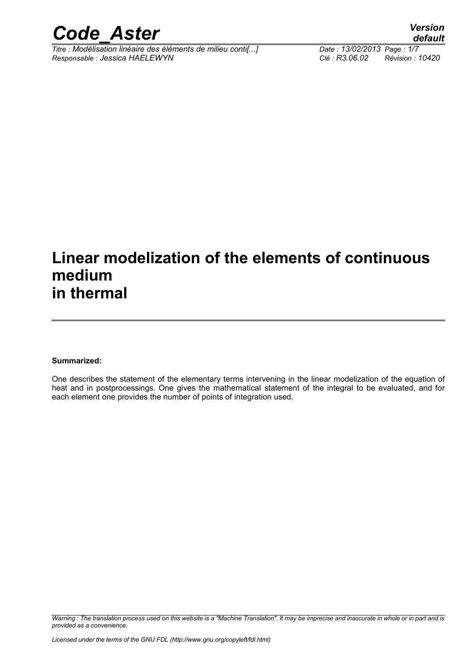

*Titre : Modélisation linéaire des éléments de milieu conti[...] Date : 13/02/2013 Page : 1/7 Responsable : Jessica HAELEWYN Clé : R3.06.02 Révision : 10420*

# **Linear modelization of the elements of continuous medium in thermal**

#### **Summarized:**

One describes the statement of the elementary terms intervening in the linear modelization of the equation of heat and in postprocessings. One gives the mathematical statement of the integral to be evaluated, and for each element one provides the number of points of integration used.

*Warning : The translation process used on this website is a "Machine Translation". It may be imprecise and inaccurate in whole or in part and is provided as a convenience.*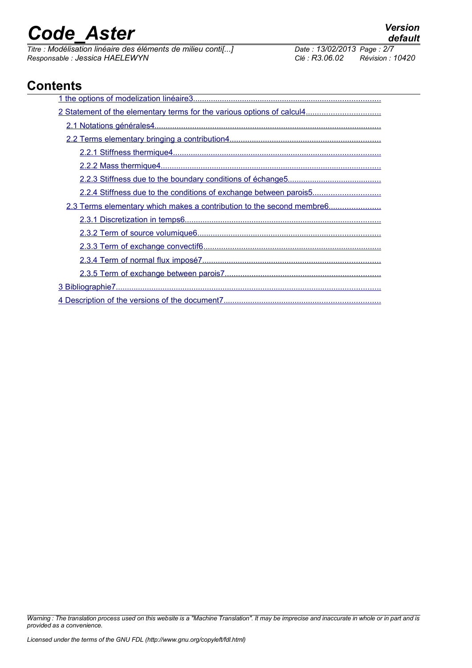*Titre : Modélisation linéaire des éléments de milieu conti[...] Date : 13/02/2014 Date : 13/02/2013 Page : 13/02/2013 Page : Page : 2014 <i>Page : 2014 Page : 2014 Page : 2014 Page : Page : 2014 <i>Page : 20 Responsable : Jessica HAELEWYN Clé : R3.06.02 Révision : 10420*

# **Contents**

| 2.2.4 Stiffness due to the conditions of exchange between parois5     |
|-----------------------------------------------------------------------|
| 2.3 Terms elementary which makes a contribution to the second membre6 |
|                                                                       |
|                                                                       |
|                                                                       |
|                                                                       |
|                                                                       |
|                                                                       |
|                                                                       |

*Warning : The translation process used on this website is a "Machine Translation". It may be imprecise and inaccurate in whole or in part and is provided as a convenience.*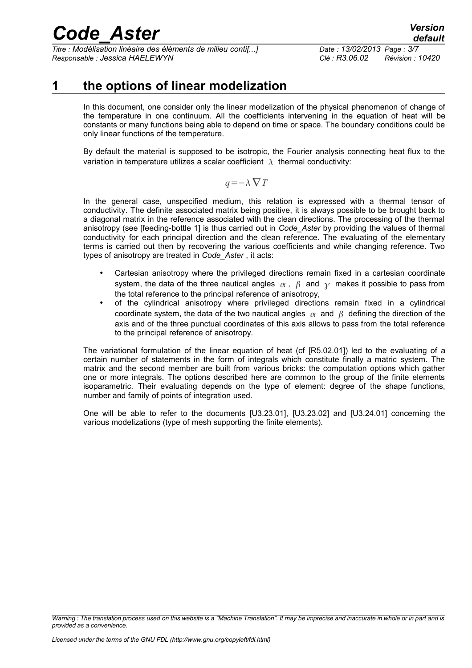*Titre : Modélisation linéaire des éléments de milieu conti[...] Date : 13/02/2013 Page : 3/7 Responsable : Jessica HAELEWYN Clé : R3.06.02 Révision : 10420*

# **1 the options of linear modelization**

<span id="page-2-0"></span>In this document, one consider only the linear modelization of the physical phenomenon of change of the temperature in one continuum. All the coefficients intervening in the equation of heat will be constants or many functions being able to depend on time or space. The boundary conditions could be only linear functions of the temperature.

By default the material is supposed to be isotropic, the Fourier analysis connecting heat flux to the variation in temperature utilizes a scalar coefficient  $\lambda$  thermal conductivity:

$$
q = -\lambda \nabla T
$$

In the general case, unspecified medium, this relation is expressed with a thermal tensor of conductivity. The definite associated matrix being positive, it is always possible to be brought back to a diagonal matrix in the reference associated with the clean directions. The processing of the thermal anisotropy (see [feeding-bottle 1] is thus carried out in *Code\_Aster* by providing the values of thermal conductivity for each principal direction and the clean reference. The evaluating of the elementary terms is carried out then by recovering the various coefficients and while changing reference. Two types of anisotropy are treated in *Code\_Aster* , it acts:

- Cartesian anisotropy where the privileged directions remain fixed in a cartesian coordinate system, the data of the three nautical angles  $\alpha$ ,  $\beta$  and  $\gamma$  makes it possible to pass from the total reference to the principal reference of anisotropy,
- of the cylindrical anisotropy where privileged directions remain fixed in a cylindrical coordinate system, the data of the two nautical angles  $\alpha$  and  $\beta$  defining the direction of the axis and of the three punctual coordinates of this axis allows to pass from the total reference to the principal reference of anisotropy.

The variational formulation of the linear equation of heat (cf [R5.02.01]) led to the evaluating of a certain number of statements in the form of integrals which constitute finally a matric system. The matrix and the second member are built from various bricks: the computation options which gather one or more integrals. The options described here are common to the group of the finite elements isoparametric. Their evaluating depends on the type of element: degree of the shape functions, number and family of points of integration used.

One will be able to refer to the documents [U3.23.01], [U3.23.02] and [U3.24.01] concerning the various modelizations (type of mesh supporting the finite elements).

*Warning : The translation process used on this website is a "Machine Translation". It may be imprecise and inaccurate in whole or in part and is provided as a convenience.*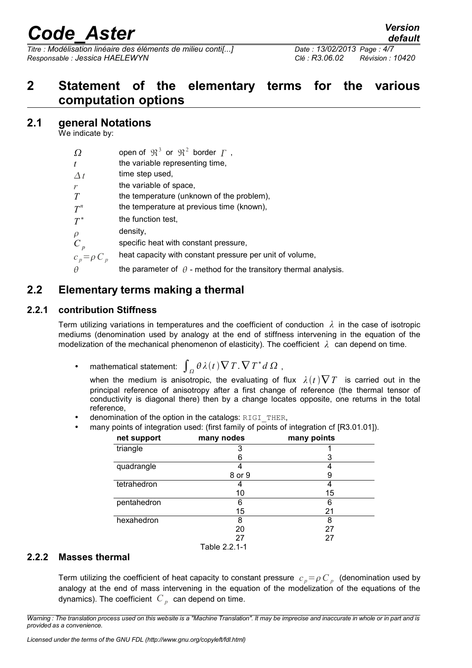*Titre : Modélisation linéaire des éléments de milieu conti[...] Date : 13/02/2013 Page : 4/7 Responsable : Jessica HAELEWYN Clé : R3.06.02 Révision : 10420*

## <span id="page-3-4"></span>**2 Statement of the elementary terms for the various computation options**

#### **2.1 general Notations**

<span id="page-3-3"></span>We indicate by:

| Ω | open of $\mathfrak{R}^3$ or $\mathfrak{R}^2$ border $\Gamma$ , |  |  |  |
|---|----------------------------------------------------------------|--|--|--|
|   |                                                                |  |  |  |

- *t* the variable representing time,
- $\Delta t$ time step used,
- *r* the variable of space.
- *T* the temperature (unknown of the problem),
- $T^n$ *n* the temperature at previous time (known),
- $T^*$ the function test,
- $\rho$  density,

 $C_p$ specific heat with constant pressure,

- $c_n = \rho C_n$ heat capacity with constant pressure per unit of volume,
- <span id="page-3-2"></span> $\theta$  the parameter of  $\theta$  - method for the transitory thermal analysis.

### **2.2 Elementary terms making a thermal**

#### **2.2.1 contribution Stiffness**

<span id="page-3-1"></span>Term utilizing variations in temperatures and the coefficient of conduction *λ* in the case of isotropic mediums (denomination used by analogy at the end of stiffness intervening in the equation of the modelization of the mechanical phenomenon of elasticity). The coefficient *λ* can depend on time.

• mathematical statement:  $\int_{\Omega} \theta \lambda(t) \nabla T \cdot \nabla T^* d \Omega$ ,

when the medium is anisotropic, the evaluating of flux  $\lambda(t)\nabla T$  is carried out in the principal reference of anisotropy after a first change of reference (the thermal tensor of conductivity is diagonal there) then by a change locates opposite, one returns in the total reference,

- denomination of the option in the catalogs: RIGI\_THER,
- many points of integration used: (first family of points of integration cf [R3.01.01]).

| net support | many nodes    | many points |
|-------------|---------------|-------------|
| triangle    |               |             |
|             | 6             | 3           |
| quadrangle  |               |             |
|             | 8 or 9        | 9           |
| tetrahedron |               |             |
|             | 10            | 15          |
| pentahedron | 6             | 6           |
|             | 15            | 21          |
| hexahedron  | 8             | 8           |
|             | 20            | 27          |
|             | 27            | 27          |
|             | Table 2.2.1-1 |             |

#### **2.2.2 Masses thermal**

<span id="page-3-0"></span>Term utilizing the coefficient of heat capacity to constant pressure  $|c|_p = \rho |C|_p$  (denomination used by analogy at the end of mass intervening in the equation of the modelization of the equations of the dynamics). The coefficient  $|C|_p|$  can depend on time.

*Warning : The translation process used on this website is a "Machine Translation". It may be imprecise and inaccurate in whole or in part and is provided as a convenience.*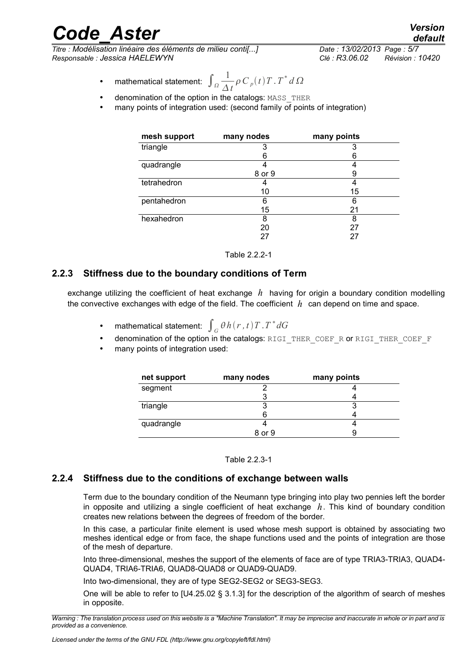*Titre : Modélisation linéaire des éléments de milieu conti[...] Date : 13/02/2013 Page : 5/7 Responsable : Jessica HAELEWYN Clé : R3.06.02 Révision : 10420*

- mathematical statement:  $\int_{\Omega} \frac{1}{\Lambda}$  $\frac{1}{\Delta t} \rho C_p(t) T$ .  $T^* d \Omega$
- denomination of the option in the catalogs: MASS\_THER
- many points of integration used: (second family of points of integration)

| mesh support | many nodes | many points |
|--------------|------------|-------------|
| triangle     | 3          | 3           |
|              | 6          | 6           |
| quadrangle   |            |             |
|              | 8 or 9     | 9           |
| tetrahedron  |            |             |
|              | 10         | 15          |
| pentahedron  | 6          | 6           |
|              | 15         | 21          |
| hexahedron   | 8          | 8           |
|              | 20         | 27          |
|              |            |             |

Table 2.2.2-1

#### **2.2.3 Stiffness due to the boundary conditions of Term**

<span id="page-4-1"></span>exchange utilizing the coefficient of heat exchange *h* having for origin a boundary condition modelling the convective exchanges with edge of the field. The coefficient *h* can depend on time and space.

- mathematical statement:  $\int_{G} \theta h(r, t) T . T^* dG$
- denomination of the option in the catalogs: RIGI\_THER\_COEF\_R or RIGI\_THER\_COEF\_F
- many points of integration used:

| net support | many nodes | many points |
|-------------|------------|-------------|
| segment     |            |             |
|             |            |             |
| triangle    |            |             |
|             |            |             |
| quadrangle  |            |             |
|             | 8 or 9     |             |

Table 2.2.3-1

#### **2.2.4 Stiffness due to the conditions of exchange between walls**

<span id="page-4-0"></span>Term due to the boundary condition of the Neumann type bringing into play two pennies left the border in opposite and utilizing a single coefficient of heat exchange *h*. This kind of boundary condition creates new relations between the degrees of freedom of the border.

In this case, a particular finite element is used whose mesh support is obtained by associating two meshes identical edge or from face, the shape functions used and the points of integration are those of the mesh of departure.

Into three-dimensional, meshes the support of the elements of face are of type TRIA3-TRIA3, QUAD4- QUAD4, TRIA6-TRIA6, QUAD8-QUAD8 or QUAD9-QUAD9.

Into two-dimensional, they are of type SEG2-SEG2 or SEG3-SEG3.

One will be able to refer to [U4.25.02 § 3.1.3] for the description of the algorithm of search of meshes in opposite.

*Warning : The translation process used on this website is a "Machine Translation". It may be imprecise and inaccurate in whole or in part and is provided as a convenience.*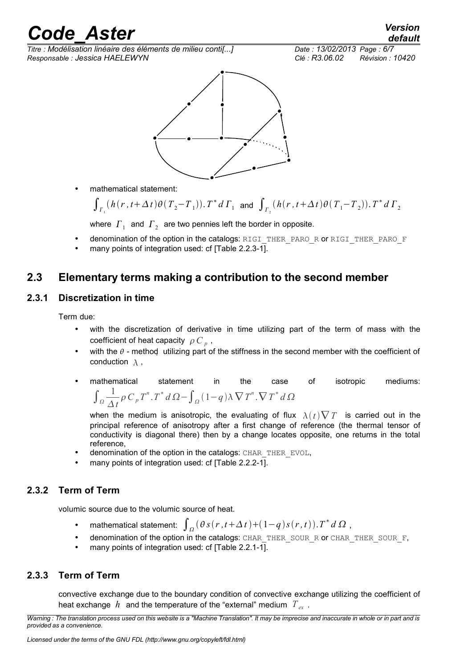# reade Aster<sup> Version</sup>

*Titre : Modélisation linéaire des éléments de milieu conti[...] Date : 13/02/2013 Page : 6/7 Responsable : Jessica HAELEWYN Clé : R3.06.02 Révision : 10420*



• mathematical statement:

$$
\int_{\Gamma_1} (h(r, t + \Delta t) \theta(T_2 - T_1)). \, T^* \, d \Gamma_1 \text{ and } \int_{\Gamma_2} (h(r, t + \Delta t) \theta(T_1 - T_2)). \, T^* \, d \Gamma_2
$$

where  $\left\vert \varGamma_{_{1}}\right\rangle$  and  $\left\vert \varGamma_{_{2}}\right\rangle$  are two pennies left the border in opposite.

- denomination of the option in the catalogs: RIGI\_THER\_PARO\_R or RIGI\_THER\_PARO\_F
- many points of integration used: cf [Table 2.2.3-1].

### <span id="page-5-3"></span>**2.3 Elementary terms making a contribution to the second member**

#### **2.3.1 Discretization in time**

<span id="page-5-2"></span>Term due:

- with the discretization of derivative in time utilizing part of the term of mass with the coefficient of heat capacity  $\rho C_p$ ,
- with the  $\theta$  method utilizing part of the stiffness in the second member with the coefficient of conduction  $\lambda$ .
- mathematical statement in the case of isotropic mediums:  $\int_{\Omega} \frac{1}{\Lambda}$  $\frac{1}{\Delta t} \rho C_p T^n$ .  $T^* d \Omega - \int_{\Omega} (1-q) \lambda \nabla T^n$ .  $\nabla T^* d \Omega$

when the medium is anisotropic, the evaluating of flux  $\lambda(t)\nabla T$  is carried out in the principal reference of anisotropy after a first change of reference (the thermal tensor of conductivity is diagonal there) then by a change locates opposite, one returns in the total reference,

- denomination of the option in the catalogs: CHAR\_THER\_EVOL,
- many points of integration used: cf [Table 2.2.2-1].

#### **2.3.2 Term of Term**

<span id="page-5-1"></span>volumic source due to the volumic source of heat.

- mathematical statement:  $\int_{\Omega} (\theta s(r, t + \Delta t) + (1-q)s(r, t)).T^* d\Omega$ ,
- denomination of the option in the catalogs: CHAR\_THER\_SOUR\_R or CHAR\_THER\_SOUR\_F,
- many points of integration used: cf [Table 2.2.1-1].

#### **2.3.3 Term of Term**

<span id="page-5-0"></span>convective exchange due to the boundary condition of convective exchange utilizing the coefficient of heat exchange  $h$  and the temperature of the "external" medium  $T_{av}$ .

*Warning : The translation process used on this website is a "Machine Translation". It may be imprecise and inaccurate in whole or in part and is provided as a convenience.*